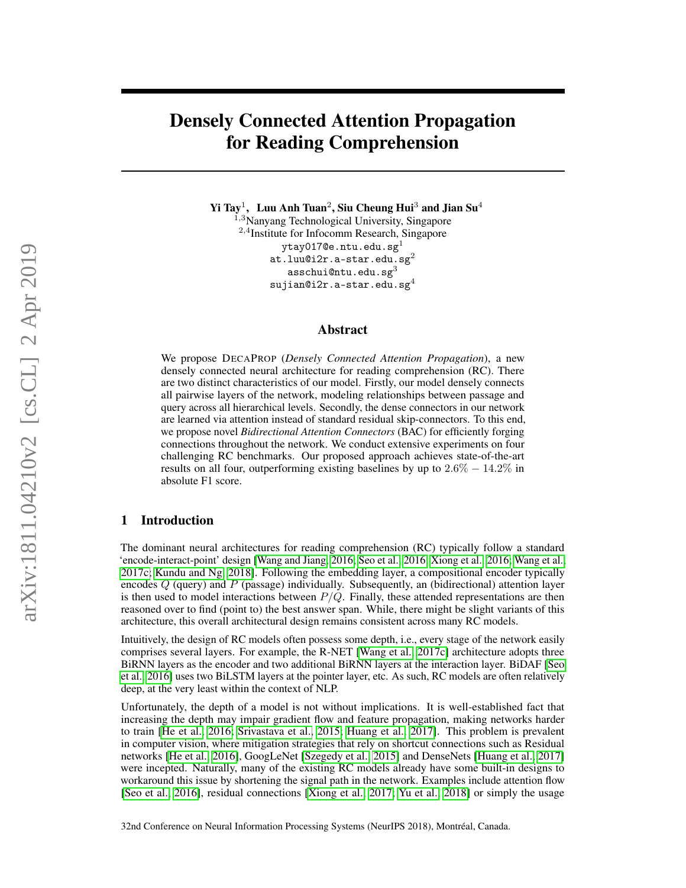# Densely Connected Attention Propagation for Reading Comprehension

Yi Tay $^1$ , Luu Anh Tuan $^2$ , Siu Cheung Hui $^3$  and Jian Su $^4$ 

<sup>1,3</sup>Nanyang Technological University, Singapore 2,4 Institute for Infocomm Research, Singapore ytay017@e.ntu.edu.sg<sup>1</sup> at.luu@i $2r.a$ -star.edu.sg $^{2}$  $\texttt{asschui@ntu.edu.sg}^3$  $s$ ujian@i2r.a-star.edu.sg $4$ 

### Abstract

We propose DECAPROP (*Densely Connected Attention Propagation*), a new densely connected neural architecture for reading comprehension (RC). There are two distinct characteristics of our model. Firstly, our model densely connects all pairwise layers of the network, modeling relationships between passage and query across all hierarchical levels. Secondly, the dense connectors in our network are learned via attention instead of standard residual skip-connectors. To this end, we propose novel *Bidirectional Attention Connectors* (BAC) for efficiently forging connections throughout the network. We conduct extensive experiments on four challenging RC benchmarks. Our proposed approach achieves state-of-the-art results on all four, outperforming existing baselines by up to  $2.6\% - 14.2\%$  in absolute F1 score.

# 1 Introduction

The dominant neural architectures for reading comprehension (RC) typically follow a standard 'encode-interact-point' design [\[Wang and Jiang, 2016;](#page-10-0) [Seo et al., 2016;](#page-10-1) [Xiong et al., 2016;](#page-11-0) [Wang et al.,](#page-10-2) [2017c;](#page-10-2) [Kundu and Ng, 2018\]](#page-9-0). Following the embedding layer, a compositional encoder typically encodes  $Q$  (query) and  $P$  (passage) individually. Subsequently, an (bidirectional) attention layer is then used to model interactions between  $P/Q$ . Finally, these attended representations are then reasoned over to find (point to) the best answer span. While, there might be slight variants of this architecture, this overall architectural design remains consistent across many RC models.

Intuitively, the design of RC models often possess some depth, i.e., every stage of the network easily comprises several layers. For example, the R-NET [\[Wang et al., 2017c\]](#page-10-2) architecture adopts three BiRNN layers as the encoder and two additional BiRNN layers at the interaction layer. BiDAF [\[Seo](#page-10-1) [et al., 2016\]](#page-10-1) uses two BiLSTM layers at the pointer layer, etc. As such, RC models are often relatively deep, at the very least within the context of NLP.

Unfortunately, the depth of a model is not without implications. It is well-established fact that increasing the depth may impair gradient flow and feature propagation, making networks harder to train [\[He et al., 2016;](#page-9-1) [Srivastava et al., 2015;](#page-10-3) [Huang et al., 2017\]](#page-9-2). This problem is prevalent in computer vision, where mitigation strategies that rely on shortcut connections such as Residual networks [\[He et al., 2016\]](#page-9-1), GoogLeNet [\[Szegedy et al., 2015\]](#page-10-4) and DenseNets [\[Huang et al., 2017\]](#page-9-2) were incepted. Naturally, many of the existing RC models already have some built-in designs to workaround this issue by shortening the signal path in the network. Examples include attention flow [\[Seo et al., 2016\]](#page-10-1), residual connections [\[Xiong et al., 2017;](#page-11-1) [Yu et al., 2018\]](#page-11-2) or simply the usage

32nd Conference on Neural Information Processing Systems (NeurIPS 2018), Montréal, Canada.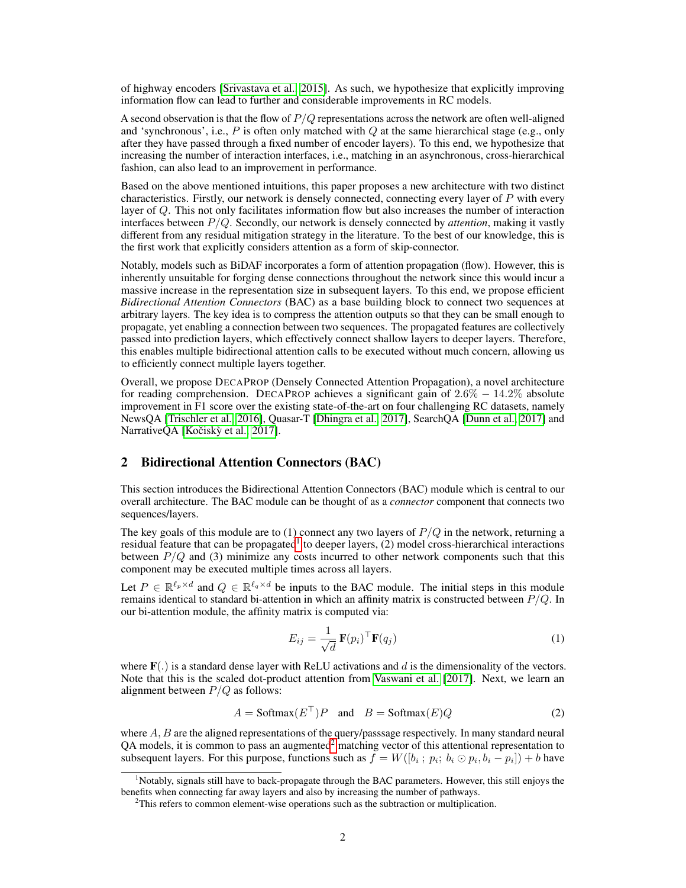of highway encoders [\[Srivastava et al., 2015\]](#page-10-3). As such, we hypothesize that explicitly improving information flow can lead to further and considerable improvements in RC models.

A second observation is that the flow of  $P/Q$  representations across the network are often well-aligned and 'synchronous', i.e.,  $P$  is often only matched with  $Q$  at the same hierarchical stage (e.g., only after they have passed through a fixed number of encoder layers). To this end, we hypothesize that increasing the number of interaction interfaces, i.e., matching in an asynchronous, cross-hierarchical fashion, can also lead to an improvement in performance.

Based on the above mentioned intuitions, this paper proposes a new architecture with two distinct characteristics. Firstly, our network is densely connected, connecting every layer of P with every layer of Q. This not only facilitates information flow but also increases the number of interaction interfaces between P/Q. Secondly, our network is densely connected by *attention*, making it vastly different from any residual mitigation strategy in the literature. To the best of our knowledge, this is the first work that explicitly considers attention as a form of skip-connector.

Notably, models such as BiDAF incorporates a form of attention propagation (flow). However, this is inherently unsuitable for forging dense connections throughout the network since this would incur a massive increase in the representation size in subsequent layers. To this end, we propose efficient *Bidirectional Attention Connectors* (BAC) as a base building block to connect two sequences at arbitrary layers. The key idea is to compress the attention outputs so that they can be small enough to propagate, yet enabling a connection between two sequences. The propagated features are collectively passed into prediction layers, which effectively connect shallow layers to deeper layers. Therefore, this enables multiple bidirectional attention calls to be executed without much concern, allowing us to efficiently connect multiple layers together.

Overall, we propose DECAPROP (Densely Connected Attention Propagation), a novel architecture for reading comprehension. DECAPROP achieves a significant gain of  $2.6\% - 14.2\%$  absolute improvement in F1 score over the existing state-of-the-art on four challenging RC datasets, namely NewsQA [\[Trischler et al., 2016\]](#page-10-5), Quasar-T [\[Dhingra et al., 2017\]](#page-9-3), SearchQA [\[Dunn et al., 2017\]](#page-9-4) and NarrativeQA [Kočiskỳ et al., [2017\]](#page-9-5).

# 2 Bidirectional Attention Connectors (BAC)

This section introduces the Bidirectional Attention Connectors (BAC) module which is central to our overall architecture. The BAC module can be thought of as a *connector* component that connects two sequences/layers.

The key goals of this module are to (1) connect any two layers of  $P/Q$  in the network, returning a residual feature that can be propagated<sup>[1](#page-1-0)</sup> to deeper layers,  $(2)$  model cross-hierarchical interactions between  $P/Q$  and (3) minimize any costs incurred to other network components such that this component may be executed multiple times across all layers.

Let  $P \in \mathbb{R}^{\ell_p \times d}$  and  $Q \in \mathbb{R}^{\ell_q \times d}$  be inputs to the BAC module. The initial steps in this module remains identical to standard bi-attention in which an affinity matrix is constructed between  $P/Q$ . In our bi-attention module, the affinity matrix is computed via:

$$
E_{ij} = \frac{1}{\sqrt{d}} \mathbf{F}(p_i)^\top \mathbf{F}(q_j)
$$
 (1)

where  $F(.)$  is a standard dense layer with ReLU activations and d is the dimensionality of the vectors. Note that this is the scaled dot-product attention from [Vaswani et al.](#page-10-6) [\[2017\]](#page-10-6). Next, we learn an alignment between  $P/Q$  as follows:

$$
A = \text{Softmax}(E^{\top})P \quad \text{and} \quad B = \text{Softmax}(E)Q \tag{2}
$$

where  $A, B$  are the aligned representations of the query/passsage respectively. In many standard neural QA models, it is common to pass an augmented<sup>[2](#page-1-1)</sup> matching vector of this attentional representation to subsequent layers. For this purpose, functions such as  $f = W([b_i : p_i; b_i \odot p_i, b_i - p_i]) + b$  have

<span id="page-1-0"></span><sup>&</sup>lt;sup>1</sup>Notably, signals still have to back-propagate through the BAC parameters. However, this still enjoys the benefits when connecting far away layers and also by increasing the number of pathways.

<span id="page-1-1"></span><sup>&</sup>lt;sup>2</sup>This refers to common element-wise operations such as the subtraction or multiplication.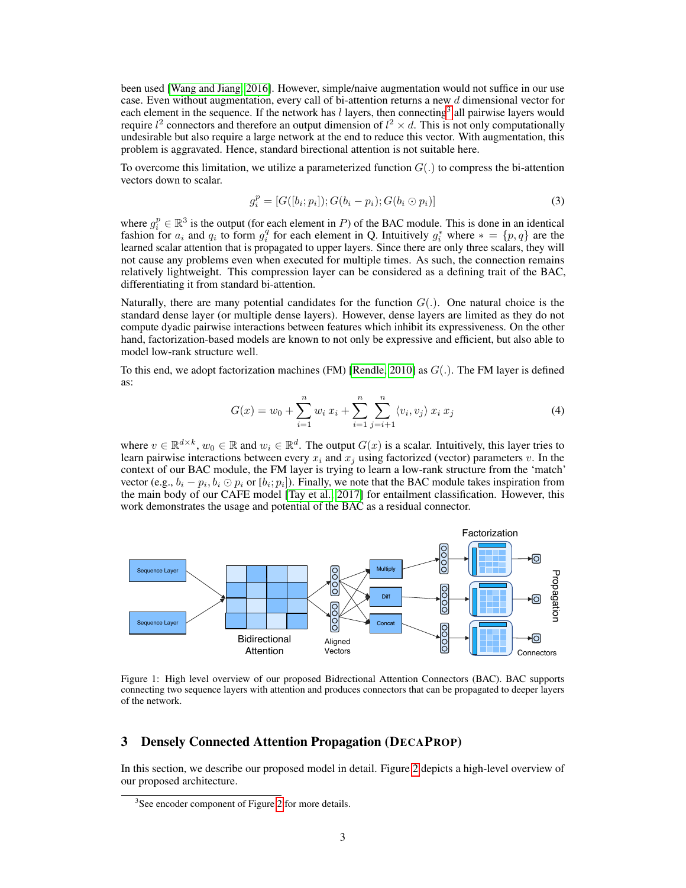been used [\[Wang and Jiang, 2016\]](#page-10-0). However, simple/naive augmentation would not suffice in our use case. Even without augmentation, every call of bi-attention returns a new d dimensional vector for each element in the sequence. If the network has  $l$  layers, then connecting<sup>[3](#page-2-0)</sup> all pairwise layers would require  $l^2$  connectors and therefore an output dimension of  $l^2 \times d$ . This is not only computationally undesirable but also require a large network at the end to reduce this vector. With augmentation, this problem is aggravated. Hence, standard birectional attention is not suitable here.

To overcome this limitation, we utilize a parameterized function  $G(.)$  to compress the bi-attention vectors down to scalar.

$$
g_i^p = [G([b_i; p_i]); G(b_i - p_i); G(b_i \odot p_i)] \tag{3}
$$

where  $g_i^p \in \mathbb{R}^3$  is the output (for each element in P) of the BAC module. This is done in an identical fashion for  $a_i$  and  $q_i$  to form  $g_i^q$  for each element in Q. Intuitively  $g_i^*$  where  $* = \{p, q\}$  are the learned scalar attention that is propagated to upper layers. Since there are only three scalars, they will not cause any problems even when executed for multiple times. As such, the connection remains relatively lightweight. This compression layer can be considered as a defining trait of the BAC, differentiating it from standard bi-attention.

Naturally, there are many potential candidates for the function  $G(.)$ . One natural choice is the standard dense layer (or multiple dense layers). However, dense layers are limited as they do not compute dyadic pairwise interactions between features which inhibit its expressiveness. On the other hand, factorization-based models are known to not only be expressive and efficient, but also able to model low-rank structure well.

To this end, we adopt factorization machines (FM) [\[Rendle, 2010\]](#page-10-7) as  $G(.)$ . The FM layer is defined as:

$$
G(x) = w_0 + \sum_{i=1}^{n} w_i x_i + \sum_{i=1}^{n} \sum_{j=i+1}^{n} \langle v_i, v_j \rangle x_i x_j
$$
 (4)

where  $v \in \mathbb{R}^{d \times k}$ ,  $w_0 \in \mathbb{R}$  and  $w_i \in \mathbb{R}^d$ . The output  $G(x)$  is a scalar. Intuitively, this layer tries to learn pairwise interactions between every  $x_i$  and  $x_j$  using factorized (vector) parameters v. In the context of our BAC module, the FM layer is trying to learn a low-rank structure from the 'match' vector (e.g.,  $b_i - p_i, b_i \odot p_i$  or  $[b_i; p_i]$ ). Finally, we note that the BAC module takes inspiration from the main body of our CAFE model [\[Tay et al., 2017\]](#page-10-8) for entailment classification. However, this work demonstrates the usage and potential of the BAC as a residual connector.



Figure 1: High level overview of our proposed Bidrectional Attention Connectors (BAC). BAC supports connecting two sequence layers with attention and produces connectors that can be propagated to deeper layers of the network.

## 3 Densely Connected Attention Propagation (DECAPROP)

In this section, we describe our proposed model in detail. Figure [2](#page-3-0) depicts a high-level overview of our proposed architecture.

<span id="page-2-0"></span><sup>&</sup>lt;sup>3</sup>See encoder component of Figure [2](#page-3-0) for more details.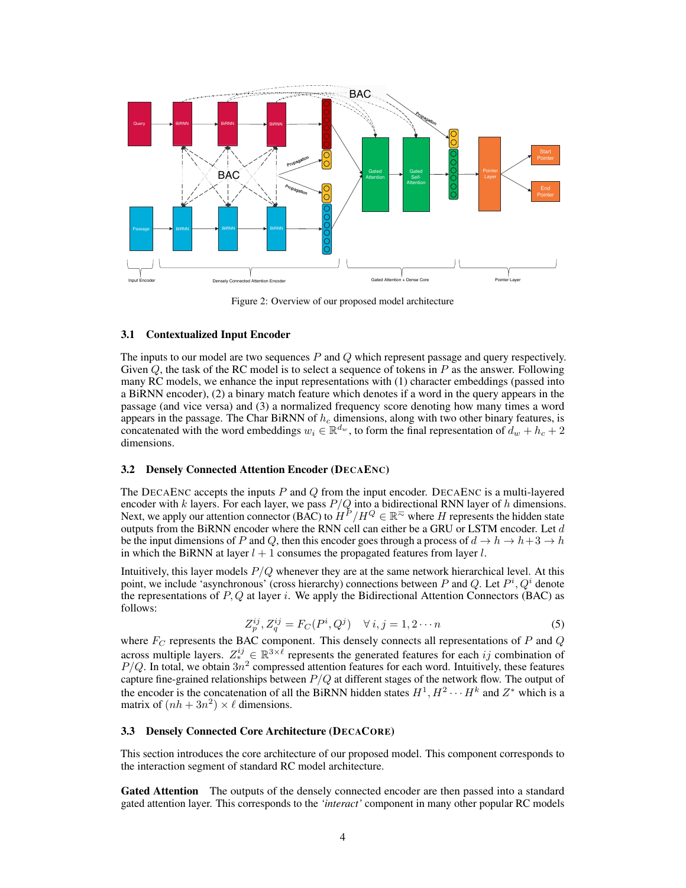<span id="page-3-0"></span>

Figure 2: Overview of our proposed model architecture

#### 3.1 Contextualized Input Encoder

The inputs to our model are two sequences  $P$  and  $Q$  which represent passage and query respectively. Given  $Q$ , the task of the RC model is to select a sequence of tokens in  $P$  as the answer. Following many RC models, we enhance the input representations with (1) character embeddings (passed into a BiRNN encoder), (2) a binary match feature which denotes if a word in the query appears in the passage (and vice versa) and (3) a normalized frequency score denoting how many times a word appears in the passage. The Char BiRNN of  $h_c$  dimensions, along with two other binary features, is concatenated with the word embeddings  $w_i \in \mathbb{R}^{d_w}$ , to form the final representation of  $d_w + h_c + 2$ dimensions.

#### 3.2 Densely Connected Attention Encoder (DECAENC)

The DECAENC accepts the inputs  $P$  and  $Q$  from the input encoder. DECAENC is a multi-layered encoder with k layers. For each layer, we pass  $P/Q$  into a bidirectional RNN layer of h dimensions. Next, we apply our attention connector (BAC) to  $H^P/H^Q \in \mathbb{R}^{\infty}$  where H represents the hidden state outputs from the BiRNN encoder where the RNN cell can either be a GRU or LSTM encoder. Let  $d$ be the input dimensions of P and Q, then this encoder goes through a process of  $d \to h \to h+3 \to h$ in which the BiRNN at layer  $l + 1$  consumes the propagated features from layer l.

Intuitively, this layer models  $P/O$  whenever they are at the same network hierarchical level. At this point, we include 'asynchronous' (cross hierarchy) connections between P and Q. Let  $P^i, Q^i$  denote the representations of  $P$ ,  $Q$  at layer i. We apply the Bidirectional Attention Connectors (BAC) as follows:

$$
Z_p^{ij}, Z_q^{ij} = F_C(P^i, Q^j) \quad \forall i, j = 1, 2 \cdots n \tag{5}
$$

where  $F_C$  represents the BAC component. This densely connects all representations of  $P$  and  $Q$ across multiple layers.  $Z_*^{ij} \in \mathbb{R}^{3 \times \ell}$  represents the generated features for each ij combination of  $P/Q$ . In total, we obtain  $3n^2$  compressed attention features for each word. Intuitively, these features capture fine-grained relationships between  $P/Q$  at different stages of the network flow. The output of the encoder is the concatenation of all the BiRNN hidden states  $H^1, H^2 \cdots H^k$  and  $Z^*$  which is a matrix of  $(nh + 3n^2) \times \ell$  dimensions.

#### 3.3 Densely Connected Core Architecture (DECACORE)

This section introduces the core architecture of our proposed model. This component corresponds to the interaction segment of standard RC model architecture.

Gated Attention The outputs of the densely connected encoder are then passed into a standard gated attention layer. This corresponds to the *'interact'* component in many other popular RC models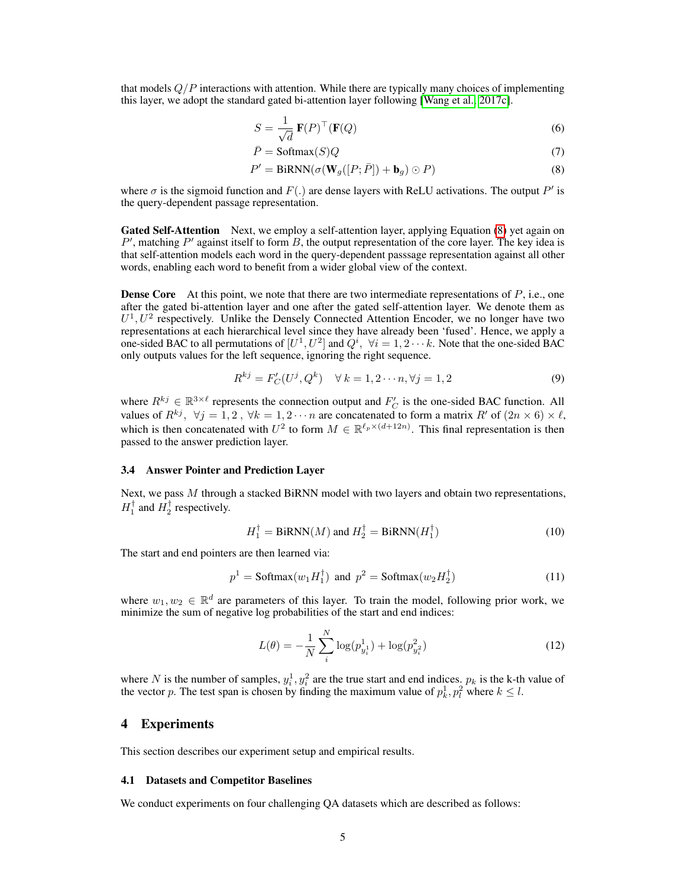that models  $Q/P$  interactions with attention. While there are typically many choices of implementing this layer, we adopt the standard gated bi-attention layer following [\[Wang et al., 2017c\]](#page-10-2).

$$
S = \frac{1}{\sqrt{d}} \mathbf{F}(P)^{\top} (\mathbf{F}(Q) \tag{6}
$$

<span id="page-4-0"></span>
$$
\bar{P} = \text{Softmax}(S)Q\tag{7}
$$

$$
P' = \text{BiRNN}(\sigma(\mathbf{W}_g([P; \bar{P}]) + \mathbf{b}_g) \odot P)
$$
\n(8)

where  $\sigma$  is the sigmoid function and  $F(.)$  are dense layers with ReLU activations. The output P' is the query-dependent passage representation.

Gated Self-Attention Next, we employ a self-attention layer, applying Equation [\(8\)](#page-4-0) yet again on  $P'$ , matching  $P'$  against itself to form  $B$ , the output representation of the core layer. The key idea is that self-attention models each word in the query-dependent passsage representation against all other words, enabling each word to benefit from a wider global view of the context.

**Dense Core** At this point, we note that there are two intermediate representations of  $P$ , i.e., one after the gated bi-attention layer and one after the gated self-attention layer. We denote them as  $U^1, U^2$  respectively. Unlike the Densely Connected Attention Encoder, we no longer have two representations at each hierarchical level since they have already been 'fused'. Hence, we apply a one-sided BAC to all permutations of  $[U^1, U^2]$  and  $\hat{Q}^i$ ,  $\forall i = 1, 2 \cdots k$ . Note that the one-sided BAC only outputs values for the left sequence, ignoring the right sequence.

$$
R^{kj} = F'_C(U^j, Q^k) \quad \forall \, k = 1, 2 \cdots n, \forall j = 1, 2 \tag{9}
$$

where  $R^{kj} \in \mathbb{R}^{3 \times \ell}$  represents the connection output and  $F_C$  is the one-sided BAC function. All values of  $R^{kj}$ ,  $\forall j = 1, 2, \forall k = 1, 2 \cdots n$  are concatenated to form a matrix  $R'$  of  $(2n \times 6) \times \ell$ , which is then concatenated with  $U^2$  to form  $M \in \mathbb{R}^{\ell_p \times (d+12n)}$ . This final representation is then passed to the answer prediction layer.

#### 3.4 Answer Pointer and Prediction Layer

Next, we pass  $M$  through a stacked BiRNN model with two layers and obtain two representations,  $H_1^{\dagger}$  and  $H_2^{\dagger}$  respectively.

$$
H_1^{\dagger} = \text{BiRNN}(M) \text{ and } H_2^{\dagger} = \text{BiRNN}(H_1^{\dagger}) \tag{10}
$$

The start and end pointers are then learned via:

$$
p1 = \text{Softmax}(w1H1\dagger) \text{ and } p2 = \text{Softmax}(w2H2\dagger)
$$
 (11)

where  $w_1, w_2 \in \mathbb{R}^d$  are parameters of this layer. To train the model, following prior work, we minimize the sum of negative log probabilities of the start and end indices:

$$
L(\theta) = -\frac{1}{N} \sum_{i}^{N} \log(p_{y_i^1}^1) + \log(p_{y_i^2}^2)
$$
 (12)

where N is the number of samples,  $y_i^1, y_i^2$  are the true start and end indices.  $p_k$  is the k-th value of the vector p. The test span is chosen by finding the maximum value of  $p_k^1, p_l^2$  where  $k \leq l$ .

## 4 Experiments

This section describes our experiment setup and empirical results.

#### 4.1 Datasets and Competitor Baselines

We conduct experiments on four challenging QA datasets which are described as follows: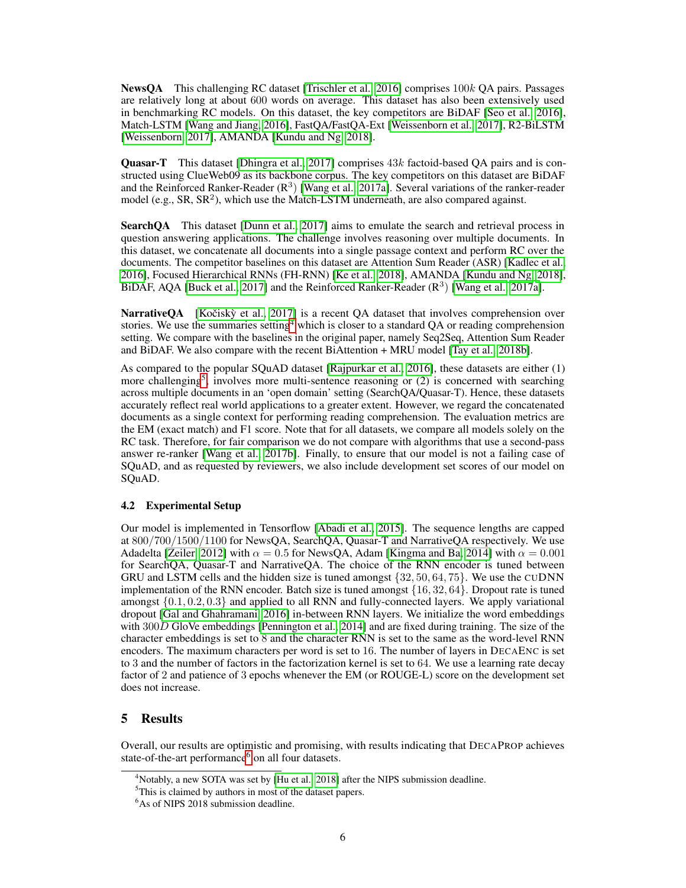**NewsOA** This challenging RC dataset [\[Trischler et al., 2016\]](#page-10-5) comprises  $100k$  OA pairs. Passages are relatively long at about 600 words on average. This dataset has also been extensively used in benchmarking RC models. On this dataset, the key competitors are BiDAF [\[Seo et al., 2016\]](#page-10-1), Match-LSTM [\[Wang and Jiang, 2016\]](#page-10-0), FastQA/FastQA-Ext [\[Weissenborn et al., 2017\]](#page-11-3), R2-BiLSTM [\[Weissenborn, 2017\]](#page-11-4), AMANDA [\[Kundu and Ng, 2018\]](#page-9-0).

**Quasar-T** This dataset [\[Dhingra et al., 2017\]](#page-9-3) comprises  $43k$  factoid-based OA pairs and is constructed using ClueWeb09 as its backbone corpus. The key competitors on this dataset are BiDAF and the Reinforced Ranker-Reader ( $\mathbb{R}^3$ ) [\[Wang et al., 2017a\]](#page-10-9). Several variations of the ranker-reader model (e.g.,  $SR$ ,  $SR<sup>2</sup>$ ), which use the Match-LSTM underneath, are also compared against.

SearchQA This dataset [\[Dunn et al., 2017\]](#page-9-4) aims to emulate the search and retrieval process in question answering applications. The challenge involves reasoning over multiple documents. In this dataset, we concatenate all documents into a single passage context and perform RC over the documents. The competitor baselines on this dataset are Attention Sum Reader (ASR) [\[Kadlec et al.,](#page-9-6) [2016\]](#page-9-6), Focused Hierarchical RNNs (FH-RNN) [\[Ke et al., 2018\]](#page-9-7), AMANDA [\[Kundu and Ng, 2018\]](#page-9-0), BiDAF, AQA [\[Buck et al., 2017\]](#page-8-0) and the Reinforced Ranker-Reader  $(R^3)$  [\[Wang et al., 2017a\]](#page-10-9).

**NarrativeQA** [Kočiskỳ et al., 2017] is a recent QA dataset that involves comprehension over stories. We use the summaries setting<sup>[4](#page-5-0)</sup> which is closer to a standard QA or reading comprehension setting. We compare with the baselines in the original paper, namely Seq2Seq, Attention Sum Reader and BiDAF. We also compare with the recent BiAttention + MRU model [\[Tay et al., 2018b\]](#page-10-10).

As compared to the popular SQuAD dataset [\[Rajpurkar et al., 2016\]](#page-10-11), these datasets are either (1) more challenging<sup>[5](#page-5-1)</sup>, involves more multi-sentence reasoning or  $(2)$  is concerned with searching across multiple documents in an 'open domain' setting (SearchQA/Quasar-T). Hence, these datasets accurately reflect real world applications to a greater extent. However, we regard the concatenated documents as a single context for performing reading comprehension. The evaluation metrics are the EM (exact match) and F1 score. Note that for all datasets, we compare all models solely on the RC task. Therefore, for fair comparison we do not compare with algorithms that use a second-pass answer re-ranker [\[Wang et al., 2017b\]](#page-10-12). Finally, to ensure that our model is not a failing case of SQuAD, and as requested by reviewers, we also include development set scores of our model on SQuAD.

## 4.2 Experimental Setup

Our model is implemented in Tensorflow [\[Abadi et al., 2015\]](#page-8-1). The sequence lengths are capped at 800/700/1500/1100 for NewsQA, SearchQA, Quasar-T and NarrativeQA respectively. We use Adadelta [\[Zeiler, 2012\]](#page-11-5) with  $\alpha = 0.5$  for NewsQA, Adam [\[Kingma and Ba, 2014\]](#page-9-8) with  $\alpha = 0.001$ for SearchQA, Quasar-T and NarrativeQA. The choice of the RNN encoder is tuned between GRU and LSTM cells and the hidden size is tuned amongst  $\{32, 50, 64, 75\}$ . We use the CUDNN implementation of the RNN encoder. Batch size is tuned amongst  $\{16, 32, 64\}$ . Dropout rate is tuned amongst  $\{0.1, 0.2, 0.3\}$  and applied to all RNN and fully-connected layers. We apply variational dropout [\[Gal and Ghahramani, 2016\]](#page-9-9) in-between RNN layers. We initialize the word embeddings with 300D GloVe embeddings [\[Pennington et al., 2014\]](#page-10-13) and are fixed during training. The size of the character embeddings is set to 8 and the character RNN is set to the same as the word-level RNN encoders. The maximum characters per word is set to 16. The number of layers in DECAENC is set to 3 and the number of factors in the factorization kernel is set to 64. We use a learning rate decay factor of 2 and patience of 3 epochs whenever the EM (or ROUGE-L) score on the development set does not increase.

# 5 Results

Overall, our results are optimistic and promising, with results indicating that DECAPROP achieves state-of-the-art performance<sup>[6](#page-5-2)</sup> on all four datasets.

<span id="page-5-0"></span><sup>&</sup>lt;sup>4</sup>Notably, a new SOTA was set by [\[Hu et al., 2018\]](#page-9-10) after the NIPS submission deadline.

<span id="page-5-1"></span><sup>5</sup>This is claimed by authors in most of the dataset papers.

<span id="page-5-2"></span><sup>&</sup>lt;sup>6</sup>As of NIPS 2018 submission deadline.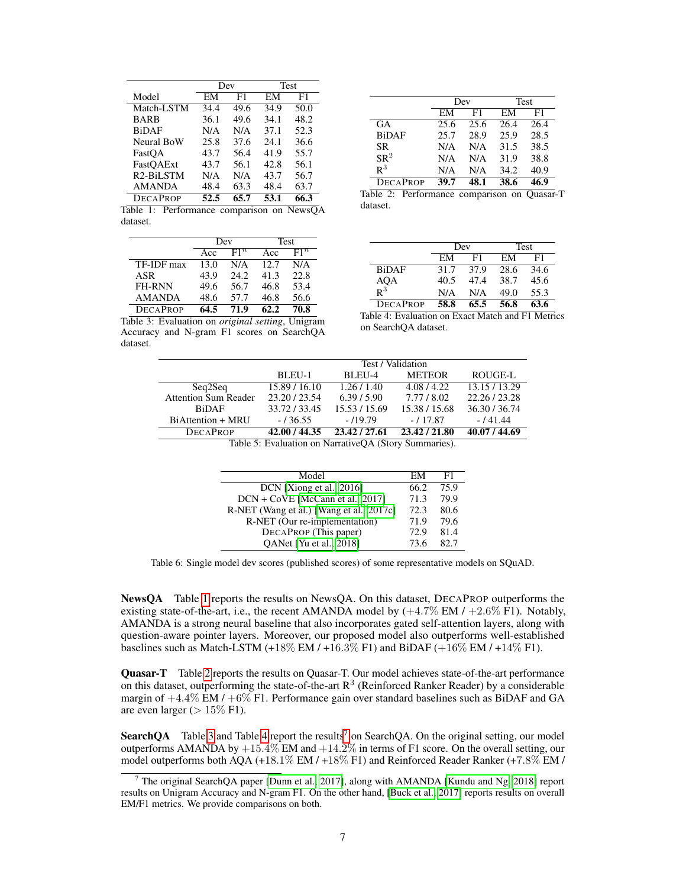<span id="page-6-0"></span>

|                        | Dev  |      | <b>Test</b> |      |
|------------------------|------|------|-------------|------|
| Model                  | EМ   | F1   | EМ          | F1   |
| Match-LSTM             | 34.4 | 49.6 | 34.9        | 50.0 |
| <b>BARB</b>            | 36.1 | 49.6 | 34.1        | 48.2 |
| <b>BiDAF</b>           | N/A  | N/A  | 37.1        | 52.3 |
| Neural BoW             | 25.8 | 37.6 | 24.1        | 36.6 |
| FastOA                 | 43.7 | 56.4 | 41.9        | 55.7 |
| FastOAExt              | 43.7 | 56.1 | 42.8        | 56.1 |
| R <sub>2</sub> -BiLSTM | N/A  | N/A  | 43.7        | 56.7 |
| <b>AMANDA</b>          | 48.4 | 63.3 | 48.4        | 63.7 |
| <b>DECAPROP</b>        | 52.5 | 65.7 | 53.1        | 66.3 |

Table 1: Performance comparison on NewsQA dataset.

|                 | Dev  |        | <b>Test</b> |        |
|-----------------|------|--------|-------------|--------|
|                 | Acc  | $F1^n$ | Acc         | $F1^n$ |
| TF-IDF max      | 13.0 | N/A    | 12.7        | N/A    |
| ASR             | 43.9 | 24.2   | 41.3        | 22.8   |
| <b>FH-RNN</b>   | 49.6 | 56.7   | 46.8        | 53.4   |
| <b>AMANDA</b>   | 48.6 | 57.7   | 46.8        | 56.6   |
| <b>DECAPROP</b> | 64 5 | 71.9   |             | 70.8   |

Table 3: Evaluation on *original setting*, Unigram Accuracy and N-gram F1 scores on SearchQA

dataset.

|                 | Dev  |      | Test |      |
|-----------------|------|------|------|------|
|                 | EМ   | F1   | ЕM   | F1   |
| GA              | 25.6 | 25.6 | 26.4 | 26.4 |
| <b>BiDAF</b>    | 25.7 | 28.9 | 25.9 | 28.5 |
| SR.             | N/A  | N/A  | 31.5 | 38.5 |
| SR <sup>2</sup> | N/A  | N/A  | 31.9 | 38.8 |
| $R^3$           | N/A  | N/A  | 34.2 | 40.9 |
| <b>DECAPROP</b> | 39.7 |      | 38.6 | 16 Q |

Table 2: Performance comparison on Quasar-T dataset.

|                                      | Dev  |      | Test |      |
|--------------------------------------|------|------|------|------|
|                                      | FМ   | F1   | FМ   | F1   |
| <b>BiDAF</b>                         | 31.7 | 37.9 | 28.6 | 34.6 |
| $\rm{AQA}$ <sub>R</sub> <sup>3</sup> | 40.5 | 47.4 | 38.7 | 45.6 |
|                                      | N/A  | N/A  | 49.0 | 55.3 |
| <b>DECAPROP</b>                      | 58.8 | 65.5 | 56.8 | 63.6 |

Table 4: Evaluation on Exact Match and F1 Metrics on SearchQA dataset.

|                             | Test / Validation |               |               |               |
|-----------------------------|-------------------|---------------|---------------|---------------|
|                             | BLEU-1            | BLEU-4        | <b>METEOR</b> | ROUGE-L       |
| Seq2Seq                     | 15.89 / 16.10     | 1.26/1.40     | 4.08/4.22     | 13.15/13.29   |
| <b>Attention Sum Reader</b> | 23.20 / 23.54     | 6.39/5.90     | 7.77 / 8.02   | 22.26 / 23.28 |
| <b>BiDAF</b>                | 33.72/33.45       | 15.53 / 15.69 | 15.38 / 15.68 | 36.30/36.74   |
| BiAttention + MRU           | $-136.55$         | $-119.79$     | $-117.87$     | $-141.44$     |
| <b>DECAPROP</b>             | 42.00 / 44.35     | 23.42 / 27.61 | 23.42 / 21.80 | 40.07 / 44.69 |

Table 5: Evaluation on NarrativeQA (Story Summaries).

<span id="page-6-2"></span>

| Model                                    | EМ   | н1.  |
|------------------------------------------|------|------|
| DCN [Xiong et al., 2016]                 | 66.2 | 75.9 |
| DCN + CoVE [McCann et al., 2017]         | 71.3 | 79.9 |
| R-NET (Wang et al.) [Wang et al., 2017c] | 72.3 | 80.6 |
| R-NET (Our re-implementation)            | 71.9 | 79.6 |
| DECAPROP (This paper)                    | 72.9 | 81.4 |
| QANet [Yu et al., 2018]                  | 73.6 | 82.7 |

Table 6: Single model dev scores (published scores) of some representative models on SQuAD.

NewsQA Table [1](#page-6-0) reports the results on NewsQA. On this dataset, DECAPROP outperforms the existing state-of-the-art, i.e., the recent AMANDA model by  $(+4.7\% \text{ EM} / +2.6\% \text{ F1})$ . Notably, AMANDA is a strong neural baseline that also incorporates gated self-attention layers, along with question-aware pointer layers. Moreover, our proposed model also outperforms well-established baselines such as Match-LSTM (+18% EM  $/$  +16.3% F1) and BiDAF (+16% EM  $/$  +14% F1).

Quasar-T Table [2](#page-6-0) reports the results on Quasar-T. Our model achieves state-of-the-art performance on this dataset, outperforming the state-of-the-art  $R^3$  (Reinforced Ranker Reader) by a considerable margin of  $+4.4\%$  EM /  $+6\%$  F1. Performance gain over standard baselines such as BiDAF and GA are even larger ( $> 15\%$  F1).

**SearchQA** Table [3](#page-6-0) and Table [4](#page-6-0) report the results<sup>[7](#page-6-1)</sup> on SearchQA. On the original setting, our model outperforms AMANDA by  $+15.4\%$  EM and  $+14.2\%$  in terms of F1 score. On the overall setting, our model outperforms both AQA (+18.1% EM / +18% F1) and Reinforced Reader Ranker (+7.8% EM /

<span id="page-6-1"></span><sup>&</sup>lt;sup>7</sup> The original SearchOA paper [\[Dunn et al., 2017\]](#page-9-4), along with AMANDA [\[Kundu and Ng, 2018\]](#page-9-0) report results on Unigram Accuracy and N-gram F1. On the other hand, [\[Buck et al., 2017\]](#page-8-0) reports results on overall EM/F1 metrics. We provide comparisons on both.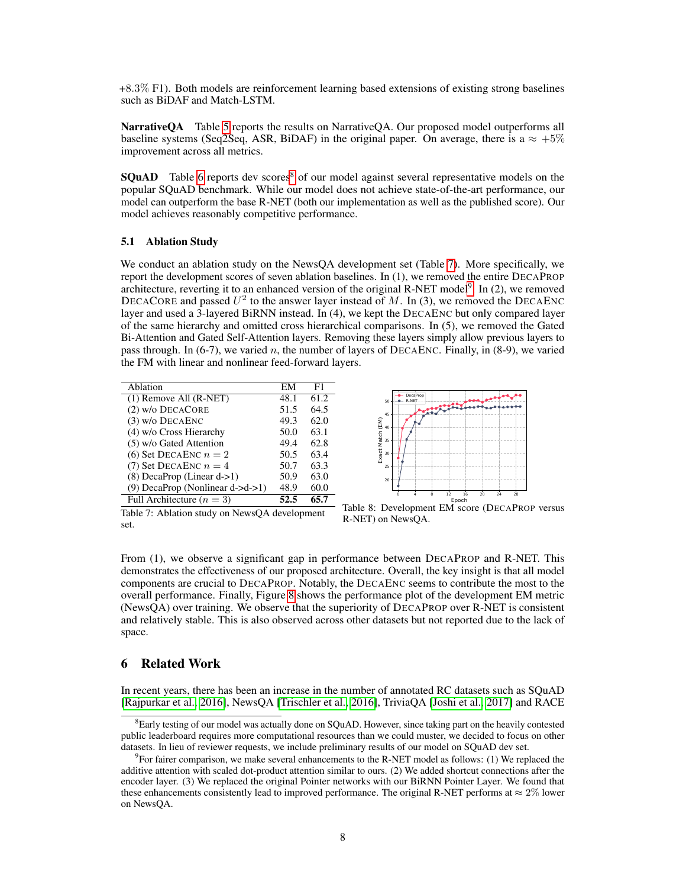+8.3% F1). Both models are reinforcement learning based extensions of existing strong baselines such as BiDAF and Match-LSTM.

Narrative QA Table [5](#page-6-0) reports the results on Narrative QA. Our proposed model outperforms all baseline systems (Seq2Seq, ASR, BiDAF) in the original paper. On average, there is a  $\approx +5\%$ improvement across all metrics.

**SOuAD** Table [6](#page-6-2) reports dev scores<sup>[8](#page-7-0)</sup> of our model against several representative models on the popular SQuAD benchmark. While our model does not achieve state-of-the-art performance, our model can outperform the base R-NET (both our implementation as well as the published score). Our model achieves reasonably competitive performance.

#### 5.1 Ablation Study

We conduct an ablation study on the NewsQA development set (Table [7\)](#page-7-1). More specifically, we report the development scores of seven ablation baselines. In (1), we removed the entire DECAPROP architecture, reverting it to an enhanced version of the original R-NET model<sup>[9](#page-7-2)</sup>. In  $(2)$ , we removed DECACORE and passed  $U^2$  to the answer layer instead of M. In (3), we removed the DECAENC layer and used a 3-layered BiRNN instead. In (4), we kept the DECAENC but only compared layer of the same hierarchy and omitted cross hierarchical comparisons. In (5), we removed the Gated Bi-Attention and Gated Self-Attention layers. Removing these layers simply allow previous layers to pass through. In (6-7), we varied n, the number of layers of DECAENC. Finally, in (8-9), we varied the FM with linear and nonlinear feed-forward layers.

<span id="page-7-1"></span>

| Ablation                         | EM   | F1   |
|----------------------------------|------|------|
| $(1)$ Remove All $(R-NET)$       | 48.1 | 61.2 |
| $(2)$ w/o DECACORE               | 51.5 | 64.5 |
| $(3)$ w/o DECAENC                | 49.3 | 62.0 |
| (4) w/o Cross Hierarchy          | 50.0 | 63.1 |
| (5) w/o Gated Attention          | 49.4 | 62.8 |
| (6) Set DECAENC $n=2$            | 50.5 | 63.4 |
| (7) Set DECAENC $n=4$            | 50.7 | 63.3 |
| (8) DecaProp (Linear d->1)       | 50.9 | 63.0 |
| (9) DecaProp (Nonlinear d->d->1) | 48.9 | 60.0 |
| Full Architecture ( $n = 3$ )    | 52.5 | 65.7 |



Table 7: Ablation study on NewsQA development set.

Table 8: Development EM score (DECAPROP versus R-NET) on NewsQA.

From (1), we observe a significant gap in performance between DECAPROP and R-NET. This demonstrates the effectiveness of our proposed architecture. Overall, the key insight is that all model components are crucial to DECAPROP. Notably, the DECAENC seems to contribute the most to the overall performance. Finally, Figure [8](#page-7-1) shows the performance plot of the development EM metric (NewsQA) over training. We observe that the superiority of DECAPROP over R-NET is consistent and relatively stable. This is also observed across other datasets but not reported due to the lack of space.

## 6 Related Work

In recent years, there has been an increase in the number of annotated RC datasets such as SQuAD [\[Rajpurkar et al., 2016\]](#page-10-11), NewsQA [\[Trischler et al., 2016\]](#page-10-5), TriviaQA [\[Joshi et al., 2017\]](#page-9-12) and RACE

<span id="page-7-0"></span><sup>&</sup>lt;sup>8</sup>Early testing of our model was actually done on SQuAD. However, since taking part on the heavily contested public leaderboard requires more computational resources than we could muster, we decided to focus on other datasets. In lieu of reviewer requests, we include preliminary results of our model on SQuAD dev set.

<span id="page-7-2"></span><sup>&</sup>lt;sup>9</sup> For fairer comparison, we make several enhancements to the R-NET model as follows: (1) We replaced the additive attention with scaled dot-product attention similar to ours. (2) We added shortcut connections after the encoder layer. (3) We replaced the original Pointer networks with our BiRNN Pointer Layer. We found that these enhancements consistently lead to improved performance. The original R-NET performs at  $\approx 2\%$  lower on NewsQA.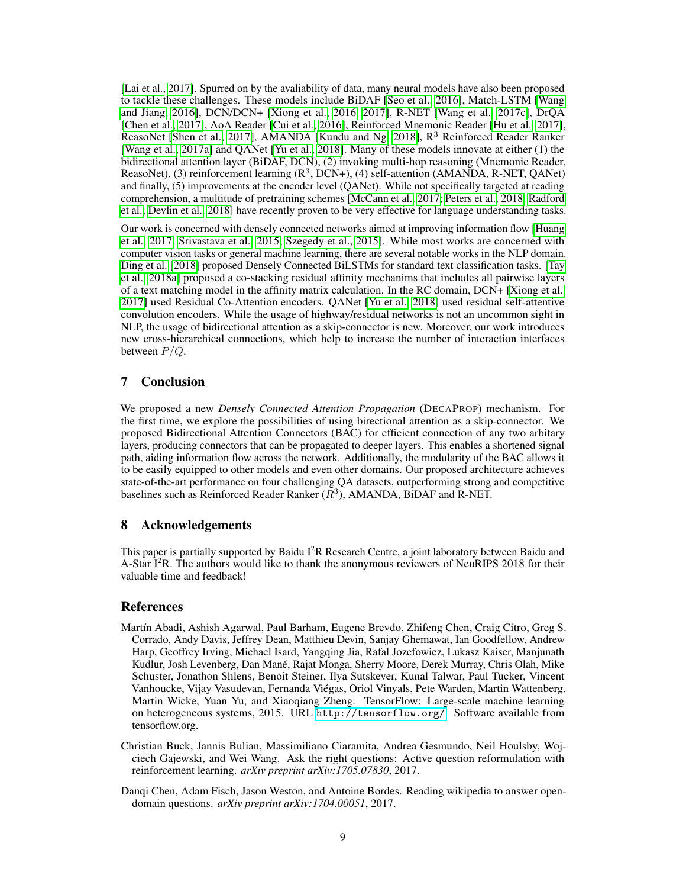[\[Lai et al., 2017\]](#page-9-13). Spurred on by the avaliability of data, many neural models have also been proposed to tackle these challenges. These models include BiDAF [\[Seo et al., 2016\]](#page-10-1), Match-LSTM [\[Wang](#page-10-0) [and Jiang, 2016\]](#page-10-0), DCN/DCN+ [\[Xiong et al., 2016,](#page-11-0) [2017\]](#page-11-1), R-NET [\[Wang et al., 2017c\]](#page-10-2), DrQA [\[Chen et al., 2017\]](#page-8-2), AoA Reader [\[Cui et al., 2016\]](#page-9-14), Reinforced Mnemonic Reader [\[Hu et al., 2017\]](#page-9-15), ReasoNet [\[Shen et al., 2017\]](#page-10-14), AMANDA [\[Kundu and Ng, 2018\]](#page-9-0),  $R<sup>3</sup>$  Reinforced Reader Ranker [\[Wang et al., 2017a\]](#page-10-9) and QANet [\[Yu et al., 2018\]](#page-11-2). Many of these models innovate at either (1) the bidirectional attention layer (BiDAF, DCN), (2) invoking multi-hop reasoning (Mnemonic Reader, ReasoNet), (3) reinforcement learning  $(R^3, DCN+)$ , (4) self-attention (AMANDA, R-NET, QANet) and finally, (5) improvements at the encoder level (QANet). While not specifically targeted at reading comprehension, a multitude of pretraining schemes [\[McCann et al., 2017;](#page-9-11) [Peters et al., 2018;](#page-10-15) [Radford](#page-10-16) [et al.;](#page-10-16) [Devlin et al., 2018\]](#page-9-16) have recently proven to be very effective for language understanding tasks.

Our work is concerned with densely connected networks aimed at improving information flow [\[Huang](#page-9-2) [et al., 2017;](#page-9-2) [Srivastava et al., 2015;](#page-10-3) [Szegedy et al., 2015\]](#page-10-4). While most works are concerned with computer vision tasks or general machine learning, there are several notable works in the NLP domain. [Ding et al.](#page-9-17) [\[2018\]](#page-9-17) proposed Densely Connected BiLSTMs for standard text classification tasks. [\[Tay](#page-10-17) [et al., 2018a\]](#page-10-17) proposed a co-stacking residual affinity mechanims that includes all pairwise layers of a text matching model in the affinity matrix calculation. In the RC domain, DCN+ [\[Xiong et al.,](#page-11-1) [2017\]](#page-11-1) used Residual Co-Attention encoders. QANet [\[Yu et al., 2018\]](#page-11-2) used residual self-attentive convolution encoders. While the usage of highway/residual networks is not an uncommon sight in NLP, the usage of bidirectional attention as a skip-connector is new. Moreover, our work introduces new cross-hierarchical connections, which help to increase the number of interaction interfaces between  $P/Q$ .

# 7 Conclusion

We proposed a new *Densely Connected Attention Propagation* (DECAPROP) mechanism. For the first time, we explore the possibilities of using birectional attention as a skip-connector. We proposed Bidirectional Attention Connectors (BAC) for efficient connection of any two arbitary layers, producing connectors that can be propagated to deeper layers. This enables a shortened signal path, aiding information flow across the network. Additionally, the modularity of the BAC allows it to be easily equipped to other models and even other domains. Our proposed architecture achieves state-of-the-art performance on four challenging QA datasets, outperforming strong and competitive baselines such as Reinforced Reader Ranker  $(R^3)$ , AMANDA, BiDAF and R-NET.

# 8 Acknowledgements

This paper is partially supported by Baidu I<sup>2</sup>R Research Centre, a joint laboratory between Baidu and A-Star  $I^2R$ . The authors would like to thank the anonymous reviewers of NeuRIPS 2018 for their valuable time and feedback!

## **References**

- <span id="page-8-1"></span>Martín Abadi, Ashish Agarwal, Paul Barham, Eugene Brevdo, Zhifeng Chen, Craig Citro, Greg S. Corrado, Andy Davis, Jeffrey Dean, Matthieu Devin, Sanjay Ghemawat, Ian Goodfellow, Andrew Harp, Geoffrey Irving, Michael Isard, Yangqing Jia, Rafal Jozefowicz, Lukasz Kaiser, Manjunath Kudlur, Josh Levenberg, Dan Mané, Rajat Monga, Sherry Moore, Derek Murray, Chris Olah, Mike Schuster, Jonathon Shlens, Benoit Steiner, Ilya Sutskever, Kunal Talwar, Paul Tucker, Vincent Vanhoucke, Vijay Vasudevan, Fernanda Viégas, Oriol Vinyals, Pete Warden, Martin Wattenberg, Martin Wicke, Yuan Yu, and Xiaoqiang Zheng. TensorFlow: Large-scale machine learning on heterogeneous systems, 2015. URL <http://tensorflow.org/>. Software available from tensorflow.org.
- <span id="page-8-0"></span>Christian Buck, Jannis Bulian, Massimiliano Ciaramita, Andrea Gesmundo, Neil Houlsby, Wojciech Gajewski, and Wei Wang. Ask the right questions: Active question reformulation with reinforcement learning. *arXiv preprint arXiv:1705.07830*, 2017.
- <span id="page-8-2"></span>Danqi Chen, Adam Fisch, Jason Weston, and Antoine Bordes. Reading wikipedia to answer opendomain questions. *arXiv preprint arXiv:1704.00051*, 2017.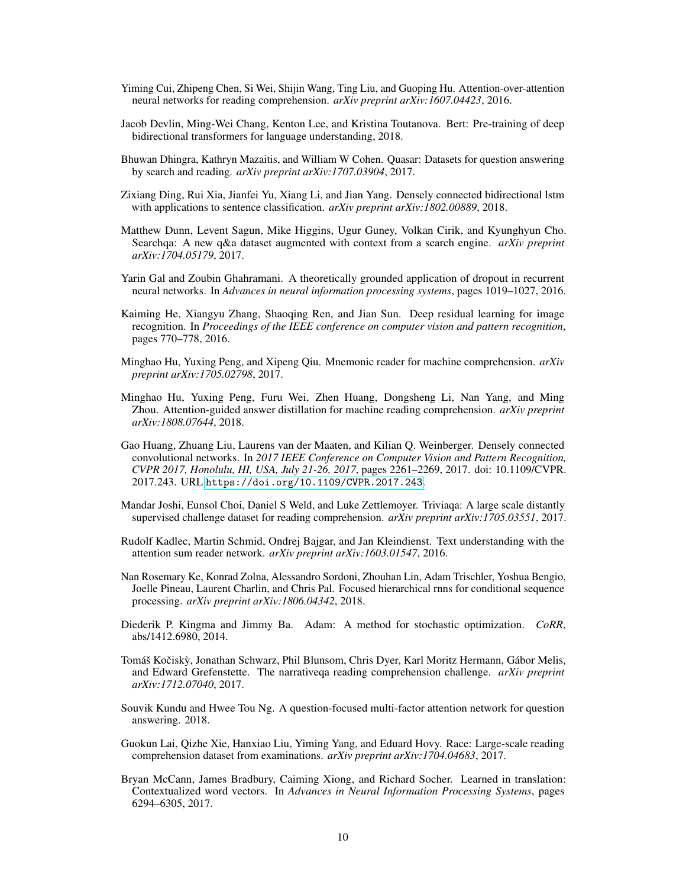- <span id="page-9-14"></span>Yiming Cui, Zhipeng Chen, Si Wei, Shijin Wang, Ting Liu, and Guoping Hu. Attention-over-attention neural networks for reading comprehension. *arXiv preprint arXiv:1607.04423*, 2016.
- <span id="page-9-16"></span>Jacob Devlin, Ming-Wei Chang, Kenton Lee, and Kristina Toutanova. Bert: Pre-training of deep bidirectional transformers for language understanding, 2018.
- <span id="page-9-3"></span>Bhuwan Dhingra, Kathryn Mazaitis, and William W Cohen. Quasar: Datasets for question answering by search and reading. *arXiv preprint arXiv:1707.03904*, 2017.
- <span id="page-9-17"></span>Zixiang Ding, Rui Xia, Jianfei Yu, Xiang Li, and Jian Yang. Densely connected bidirectional lstm with applications to sentence classification. *arXiv preprint arXiv:1802.00889*, 2018.
- <span id="page-9-4"></span>Matthew Dunn, Levent Sagun, Mike Higgins, Ugur Guney, Volkan Cirik, and Kyunghyun Cho. Searchqa: A new q&a dataset augmented with context from a search engine. *arXiv preprint arXiv:1704.05179*, 2017.
- <span id="page-9-9"></span>Yarin Gal and Zoubin Ghahramani. A theoretically grounded application of dropout in recurrent neural networks. In *Advances in neural information processing systems*, pages 1019–1027, 2016.
- <span id="page-9-1"></span>Kaiming He, Xiangyu Zhang, Shaoqing Ren, and Jian Sun. Deep residual learning for image recognition. In *Proceedings of the IEEE conference on computer vision and pattern recognition*, pages 770–778, 2016.
- <span id="page-9-15"></span>Minghao Hu, Yuxing Peng, and Xipeng Qiu. Mnemonic reader for machine comprehension. *arXiv preprint arXiv:1705.02798*, 2017.
- <span id="page-9-10"></span>Minghao Hu, Yuxing Peng, Furu Wei, Zhen Huang, Dongsheng Li, Nan Yang, and Ming Zhou. Attention-guided answer distillation for machine reading comprehension. *arXiv preprint arXiv:1808.07644*, 2018.
- <span id="page-9-2"></span>Gao Huang, Zhuang Liu, Laurens van der Maaten, and Kilian Q. Weinberger. Densely connected convolutional networks. In *2017 IEEE Conference on Computer Vision and Pattern Recognition, CVPR 2017, Honolulu, HI, USA, July 21-26, 2017*, pages 2261–2269, 2017. doi: 10.1109/CVPR. 2017.243. URL <https://doi.org/10.1109/CVPR.2017.243>.
- <span id="page-9-12"></span>Mandar Joshi, Eunsol Choi, Daniel S Weld, and Luke Zettlemoyer. Triviaqa: A large scale distantly supervised challenge dataset for reading comprehension. *arXiv preprint arXiv:1705.03551*, 2017.
- <span id="page-9-6"></span>Rudolf Kadlec, Martin Schmid, Ondrej Bajgar, and Jan Kleindienst. Text understanding with the attention sum reader network. *arXiv preprint arXiv:1603.01547*, 2016.
- <span id="page-9-7"></span>Nan Rosemary Ke, Konrad Zolna, Alessandro Sordoni, Zhouhan Lin, Adam Trischler, Yoshua Bengio, Joelle Pineau, Laurent Charlin, and Chris Pal. Focused hierarchical rnns for conditional sequence processing. *arXiv preprint arXiv:1806.04342*, 2018.
- <span id="page-9-8"></span>Diederik P. Kingma and Jimmy Ba. Adam: A method for stochastic optimization. *CoRR*, abs/1412.6980, 2014.
- <span id="page-9-5"></span>Tomáš Kočiskỳ, Jonathan Schwarz, Phil Blunsom, Chris Dyer, Karl Moritz Hermann, Gábor Melis, and Edward Grefenstette. The narrativeqa reading comprehension challenge. *arXiv preprint arXiv:1712.07040*, 2017.
- <span id="page-9-0"></span>Souvik Kundu and Hwee Tou Ng. A question-focused multi-factor attention network for question answering. 2018.
- <span id="page-9-13"></span>Guokun Lai, Qizhe Xie, Hanxiao Liu, Yiming Yang, and Eduard Hovy. Race: Large-scale reading comprehension dataset from examinations. *arXiv preprint arXiv:1704.04683*, 2017.
- <span id="page-9-11"></span>Bryan McCann, James Bradbury, Caiming Xiong, and Richard Socher. Learned in translation: Contextualized word vectors. In *Advances in Neural Information Processing Systems*, pages 6294–6305, 2017.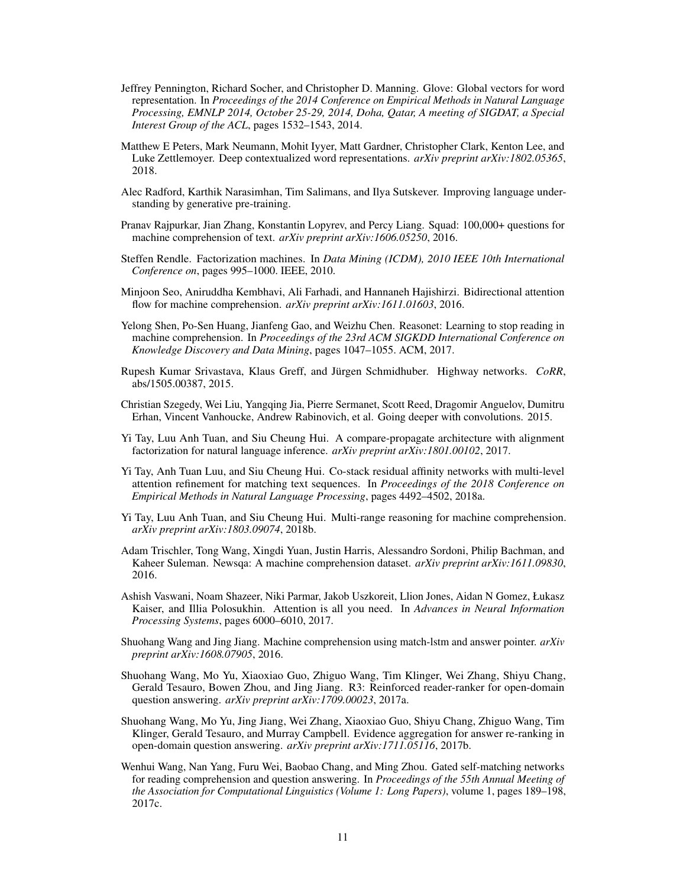- <span id="page-10-13"></span>Jeffrey Pennington, Richard Socher, and Christopher D. Manning. Glove: Global vectors for word representation. In *Proceedings of the 2014 Conference on Empirical Methods in Natural Language Processing, EMNLP 2014, October 25-29, 2014, Doha, Qatar, A meeting of SIGDAT, a Special Interest Group of the ACL*, pages 1532–1543, 2014.
- <span id="page-10-15"></span>Matthew E Peters, Mark Neumann, Mohit Iyyer, Matt Gardner, Christopher Clark, Kenton Lee, and Luke Zettlemoyer. Deep contextualized word representations. *arXiv preprint arXiv:1802.05365*, 2018.
- <span id="page-10-16"></span>Alec Radford, Karthik Narasimhan, Tim Salimans, and Ilya Sutskever. Improving language understanding by generative pre-training.
- <span id="page-10-11"></span>Pranav Rajpurkar, Jian Zhang, Konstantin Lopyrev, and Percy Liang. Squad: 100,000+ questions for machine comprehension of text. *arXiv preprint arXiv:1606.05250*, 2016.
- <span id="page-10-7"></span>Steffen Rendle. Factorization machines. In *Data Mining (ICDM), 2010 IEEE 10th International Conference on*, pages 995–1000. IEEE, 2010.
- <span id="page-10-1"></span>Minjoon Seo, Aniruddha Kembhavi, Ali Farhadi, and Hannaneh Hajishirzi. Bidirectional attention flow for machine comprehension. *arXiv preprint arXiv:1611.01603*, 2016.
- <span id="page-10-14"></span>Yelong Shen, Po-Sen Huang, Jianfeng Gao, and Weizhu Chen. Reasonet: Learning to stop reading in machine comprehension. In *Proceedings of the 23rd ACM SIGKDD International Conference on Knowledge Discovery and Data Mining*, pages 1047–1055. ACM, 2017.
- <span id="page-10-3"></span>Rupesh Kumar Srivastava, Klaus Greff, and Jürgen Schmidhuber. Highway networks. *CoRR*, abs/1505.00387, 2015.
- <span id="page-10-4"></span>Christian Szegedy, Wei Liu, Yangqing Jia, Pierre Sermanet, Scott Reed, Dragomir Anguelov, Dumitru Erhan, Vincent Vanhoucke, Andrew Rabinovich, et al. Going deeper with convolutions. 2015.
- <span id="page-10-8"></span>Yi Tay, Luu Anh Tuan, and Siu Cheung Hui. A compare-propagate architecture with alignment factorization for natural language inference. *arXiv preprint arXiv:1801.00102*, 2017.
- <span id="page-10-17"></span>Yi Tay, Anh Tuan Luu, and Siu Cheung Hui. Co-stack residual affinity networks with multi-level attention refinement for matching text sequences. In *Proceedings of the 2018 Conference on Empirical Methods in Natural Language Processing*, pages 4492–4502, 2018a.
- <span id="page-10-10"></span>Yi Tay, Luu Anh Tuan, and Siu Cheung Hui. Multi-range reasoning for machine comprehension. *arXiv preprint arXiv:1803.09074*, 2018b.
- <span id="page-10-5"></span>Adam Trischler, Tong Wang, Xingdi Yuan, Justin Harris, Alessandro Sordoni, Philip Bachman, and Kaheer Suleman. Newsqa: A machine comprehension dataset. *arXiv preprint arXiv:1611.09830*, 2016.
- <span id="page-10-6"></span>Ashish Vaswani, Noam Shazeer, Niki Parmar, Jakob Uszkoreit, Llion Jones, Aidan N Gomez, Łukasz Kaiser, and Illia Polosukhin. Attention is all you need. In *Advances in Neural Information Processing Systems*, pages 6000–6010, 2017.
- <span id="page-10-0"></span>Shuohang Wang and Jing Jiang. Machine comprehension using match-lstm and answer pointer. *arXiv preprint arXiv:1608.07905*, 2016.
- <span id="page-10-9"></span>Shuohang Wang, Mo Yu, Xiaoxiao Guo, Zhiguo Wang, Tim Klinger, Wei Zhang, Shiyu Chang, Gerald Tesauro, Bowen Zhou, and Jing Jiang. R3: Reinforced reader-ranker for open-domain question answering. *arXiv preprint arXiv:1709.00023*, 2017a.
- <span id="page-10-12"></span>Shuohang Wang, Mo Yu, Jing Jiang, Wei Zhang, Xiaoxiao Guo, Shiyu Chang, Zhiguo Wang, Tim Klinger, Gerald Tesauro, and Murray Campbell. Evidence aggregation for answer re-ranking in open-domain question answering. *arXiv preprint arXiv:1711.05116*, 2017b.
- <span id="page-10-2"></span>Wenhui Wang, Nan Yang, Furu Wei, Baobao Chang, and Ming Zhou. Gated self-matching networks for reading comprehension and question answering. In *Proceedings of the 55th Annual Meeting of the Association for Computational Linguistics (Volume 1: Long Papers)*, volume 1, pages 189–198, 2017c.